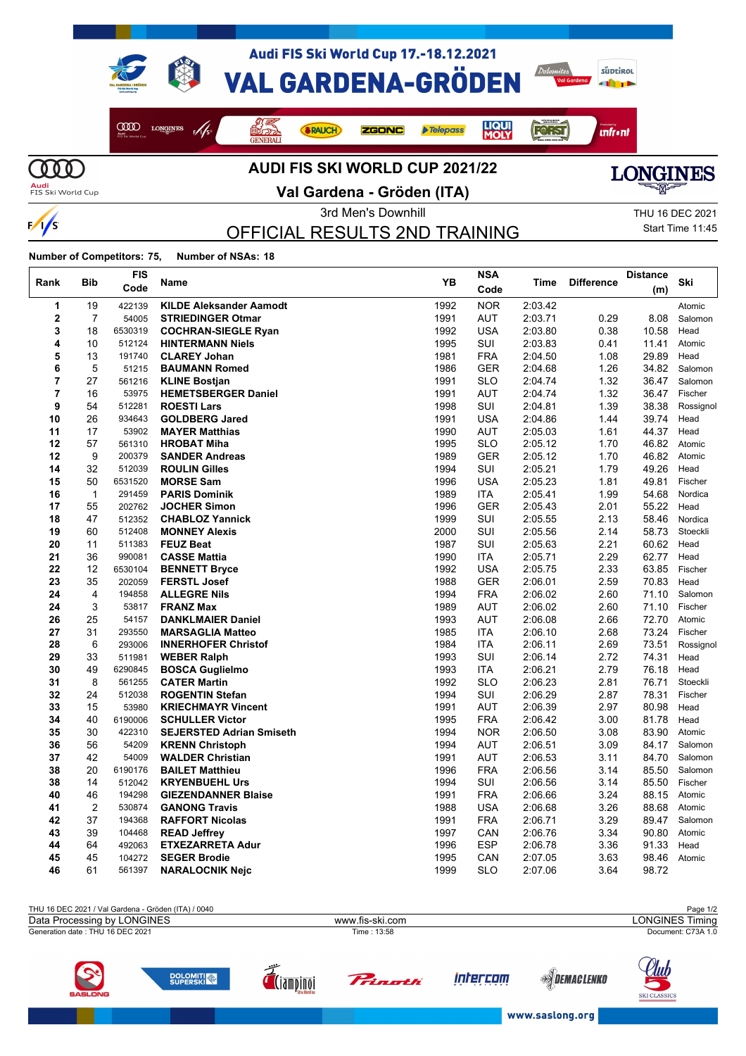

**AUDI FIS SKI WORLD CUP 2021/22**

**Audi**<br>FIS Ski World Cup

 $\frac{1}{s}$ 

### **Val Gardena - Gröden (ITA)**



3rd Men's Downhill 3rd Men's Downhill 3rd Men's Downhill OFFICIAL RESULTS 2ND TRAINING

Start Time 11:45

**Number of Competitors: 75, Number of NSAs: 18**

| Rank           | Bib            | FIS<br>Code | Name                            | YB   | <b>NSA</b> | Time    | <b>Difference</b> | <b>Distance</b><br>(m) | Ski       |
|----------------|----------------|-------------|---------------------------------|------|------------|---------|-------------------|------------------------|-----------|
|                |                |             |                                 |      | Code       |         |                   |                        |           |
| 1              | 19             | 422139      | <b>KILDE Aleksander Aamodt</b>  | 1992 | <b>NOR</b> | 2:03.42 |                   |                        | Atomic    |
| $\mathbf 2$    | $\overline{7}$ | 54005       | <b>STRIEDINGER Otmar</b>        | 1991 | <b>AUT</b> | 2:03.71 | 0.29              | 8.08                   | Salomon   |
| 3              | 18             | 6530319     | <b>COCHRAN-SIEGLE Ryan</b>      | 1992 | <b>USA</b> | 2:03.80 | 0.38              | 10.58                  | Head      |
| 4              | 10             | 512124      | <b>HINTERMANN Niels</b>         | 1995 | SUI        | 2:03.83 | 0.41              | 11.41                  | Atomic    |
| 5              | 13             | 191740      | <b>CLAREY Johan</b>             | 1981 | <b>FRA</b> | 2:04.50 | 1.08              | 29.89                  | Head      |
| 6              | 5              | 51215       | <b>BAUMANN Romed</b>            | 1986 | <b>GER</b> | 2:04.68 | 1.26              | 34.82                  | Salomon   |
| $\overline{7}$ | 27             | 561216      | <b>KLINE Bostjan</b>            | 1991 | <b>SLO</b> | 2:04.74 | 1.32              | 36.47                  | Salomon   |
| 7              | 16             | 53975       | <b>HEMETSBERGER Daniel</b>      | 1991 | AUT        | 2.04.74 | 1.32              | 36.47                  | Fischer   |
| 9              | 54             | 512281      | <b>ROESTI Lars</b>              | 1998 | SUI        | 2:04.81 | 1.39              | 38.38                  | Rossignol |
| 10             | 26             | 934643      | <b>GOLDBERG Jared</b>           | 1991 | <b>USA</b> | 2.04.86 | 1.44              | 39.74                  | Head      |
| 11             | 17             | 53902       | <b>MAYER Matthias</b>           | 1990 | <b>AUT</b> | 2:05.03 | 1.61              | 44.37                  | Head      |
| 12             | 57             | 561310      | <b>HROBAT Miha</b>              | 1995 | <b>SLO</b> | 2:05.12 | 1.70              | 46.82                  | Atomic    |
| 12             | 9              | 200379      | <b>SANDER Andreas</b>           | 1989 | <b>GER</b> | 2:05.12 | 1.70              | 46.82                  | Atomic    |
| 14             | 32             | 512039      | <b>ROULIN Gilles</b>            | 1994 | SUI        | 2:05.21 | 1.79              | 49.26                  | Head      |
| 15             | 50             | 6531520     | <b>MORSE Sam</b>                | 1996 | <b>USA</b> | 2:05.23 | 1.81              | 49.81                  | Fischer   |
| 16             | $\mathbf{1}$   | 291459      | <b>PARIS Dominik</b>            | 1989 | <b>ITA</b> | 2:05.41 | 1.99              | 54.68                  | Nordica   |
| 17             | 55             | 202762      | <b>JOCHER Simon</b>             | 1996 | <b>GER</b> | 2:05.43 | 2.01              | 55.22                  | Head      |
| 18             | 47             | 512352      | <b>CHABLOZ Yannick</b>          | 1999 | SUI        | 2:05.55 | 2.13              | 58.46                  | Nordica   |
| 19             | 60             | 512408      | <b>MONNEY Alexis</b>            | 2000 | SUI        | 2:05.56 | 2.14              | 58.73                  | Stoeckli  |
| 20             | 11             | 511383      | <b>FEUZ Beat</b>                | 1987 | SUI        | 2:05.63 | 2.21              | 60.62                  | Head      |
| 21             | 36             | 990081      | <b>CASSE Mattia</b>             | 1990 | <b>ITA</b> | 2:05.71 | 2.29              | 62.77                  | Head      |
| 22             | 12             | 6530104     | <b>BENNETT Bryce</b>            | 1992 | <b>USA</b> | 2:05.75 | 2.33              | 63.85                  | Fischer   |
| 23             | 35             | 202059      | <b>FERSTL Josef</b>             | 1988 | GER        | 2:06.01 | 2.59              | 70.83                  | Head      |
| 24             | 4              | 194858      | <b>ALLEGRE Nils</b>             | 1994 | <b>FRA</b> | 2:06.02 | 2.60              | 71.10                  | Salomon   |
| 24             | 3              | 53817       | <b>FRANZ Max</b>                | 1989 | <b>AUT</b> | 2:06.02 | 2.60              | 71.10                  | Fischer   |
| 26             | 25             | 54157       | <b>DANKLMAIER Daniel</b>        | 1993 | <b>AUT</b> | 2:06.08 | 2.66              | 72.70                  | Atomic    |
| 27             | 31             | 293550      | <b>MARSAGLIA Matteo</b>         | 1985 | ITA        | 2:06.10 | 2.68              | 73.24                  | Fischer   |
| 28             | 6              | 293006      | <b>INNERHOFER Christof</b>      | 1984 | ITA        | 2:06.11 | 2.69              | 73.51                  | Rossignol |
| 29             | 33             | 511981      | <b>WEBER Ralph</b>              | 1993 | SUI        | 2:06.14 | 2.72              | 74.31                  | Head      |
| 30             | 49             | 6290845     | <b>BOSCA Guglielmo</b>          | 1993 | ITA        | 2:06.21 | 2.79              | 76.18                  | Head      |
| 31             | 8              | 561255      | <b>CATER Martin</b>             | 1992 | <b>SLO</b> | 2:06.23 | 2.81              | 76.71                  | Stoeckli  |
| 32             | 24             | 512038      | <b>ROGENTIN Stefan</b>          | 1994 | <b>SUI</b> | 2:06.29 | 2.87              | 78.31                  | Fischer   |
| 33             | 15             | 53980       | <b>KRIECHMAYR Vincent</b>       | 1991 | AUT        | 2:06.39 | 2.97              | 80.98                  | Head      |
| 34             | 40             | 6190006     | <b>SCHULLER Victor</b>          | 1995 | <b>FRA</b> | 2:06.42 | 3.00              | 81.78                  | Head      |
| 35             | 30             | 422310      | <b>SEJERSTED Adrian Smiseth</b> | 1994 | <b>NOR</b> | 2:06.50 | 3.08              | 83.90                  | Atomic    |
| 36             | 56             | 54209       | <b>KRENN Christoph</b>          | 1994 | AUT        | 2:06.51 | 3.09              | 84.17                  | Salomon   |
| 37             | 42             | 54009       | <b>WALDER Christian</b>         | 1991 | AUT        | 2:06.53 | 3.11              | 84.70                  | Salomon   |
| 38             | 20             | 6190176     | <b>BAILET Matthieu</b>          | 1996 | <b>FRA</b> | 2:06.56 | 3.14              | 85.50                  | Salomon   |
| 38             | 14             | 512042      | <b>KRYENBUEHL Urs</b>           | 1994 | SUI        | 2:06.56 | 3.14              | 85.50                  | Fischer   |
| 40             | 46             | 194298      | <b>GIEZENDANNER Blaise</b>      | 1991 | <b>FRA</b> | 2.06.66 | 3.24              | 88.15                  | Atomic    |
| 41             | $\overline{2}$ | 530874      | <b>GANONG Travis</b>            | 1988 | <b>USA</b> | 2:06.68 | 3.26              | 88.68                  | Atomic    |
| 42             | 37             | 194368      | <b>RAFFORT Nicolas</b>          | 1991 | <b>FRA</b> | 2:06.71 | 3.29              | 89.47                  | Salomon   |
| 43             | 39             | 104468      | <b>READ Jeffrey</b>             | 1997 | CAN        | 2:06.76 | 3.34              | 90.80                  | Atomic    |
| 44             | 64             | 492063      | <b>ETXEZARRETA Adur</b>         | 1996 | ESP        | 2:06.78 | 3.36              | 91.33                  | Head      |
| 45             | 45             | 104272      | <b>SEGER Brodie</b>             | 1995 | CAN        | 2:07.05 | 3.63              | 98.46                  | Atomic    |
| 46             | 61             | 561397      | <b>NARALOCNIK Nejc</b>          | 1999 | <b>SLO</b> | 2:07.06 | 3.64              | 98.72                  |           |